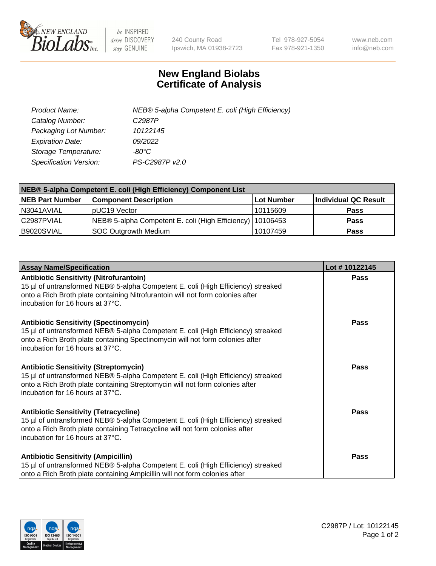

 $be$  INSPIRED drive DISCOVERY stay GENUINE

240 County Road Ipswich, MA 01938-2723 Tel 978-927-5054 Fax 978-921-1350 www.neb.com info@neb.com

## **New England Biolabs Certificate of Analysis**

| Product Name:           | NEB® 5-alpha Competent E. coli (High Efficiency) |
|-------------------------|--------------------------------------------------|
| Catalog Number:         | C <sub>2987</sub> P                              |
| Packaging Lot Number:   | 10122145                                         |
| <b>Expiration Date:</b> | 09/2022                                          |
| Storage Temperature:    | -80°C                                            |
| Specification Version:  | PS-C2987P v2.0                                   |

| NEB® 5-alpha Competent E. coli (High Efficiency) Component List |                                                             |            |                      |  |
|-----------------------------------------------------------------|-------------------------------------------------------------|------------|----------------------|--|
| <b>NEB Part Number</b>                                          | <b>Component Description</b>                                | Lot Number | Individual QC Result |  |
| N3041AVIAL                                                      | pUC19 Vector                                                | 10115609   | <b>Pass</b>          |  |
| C2987PVIAL                                                      | NEB® 5-alpha Competent E. coli (High Efficiency)   10106453 |            | <b>Pass</b>          |  |
| B9020SVIAL                                                      | <b>SOC Outgrowth Medium</b>                                 | 10107459   | <b>Pass</b>          |  |

| <b>Assay Name/Specification</b>                                                                                                                                                                                                                          | Lot #10122145 |
|----------------------------------------------------------------------------------------------------------------------------------------------------------------------------------------------------------------------------------------------------------|---------------|
| <b>Antibiotic Sensitivity (Nitrofurantoin)</b><br>15 µl of untransformed NEB® 5-alpha Competent E. coli (High Efficiency) streaked<br>onto a Rich Broth plate containing Nitrofurantoin will not form colonies after<br>incubation for 16 hours at 37°C. | Pass          |
| <b>Antibiotic Sensitivity (Spectinomycin)</b><br>15 µl of untransformed NEB® 5-alpha Competent E. coli (High Efficiency) streaked<br>onto a Rich Broth plate containing Spectinomycin will not form colonies after<br>incubation for 16 hours at 37°C.   | Pass          |
| <b>Antibiotic Sensitivity (Streptomycin)</b><br>15 µl of untransformed NEB® 5-alpha Competent E. coli (High Efficiency) streaked<br>onto a Rich Broth plate containing Streptomycin will not form colonies after<br>incubation for 16 hours at 37°C.     | Pass          |
| <b>Antibiotic Sensitivity (Tetracycline)</b><br>15 µl of untransformed NEB® 5-alpha Competent E. coli (High Efficiency) streaked<br>onto a Rich Broth plate containing Tetracycline will not form colonies after<br>incubation for 16 hours at 37°C.     | <b>Pass</b>   |
| <b>Antibiotic Sensitivity (Ampicillin)</b><br>15 µl of untransformed NEB® 5-alpha Competent E. coli (High Efficiency) streaked<br>onto a Rich Broth plate containing Ampicillin will not form colonies after                                             | Pass          |